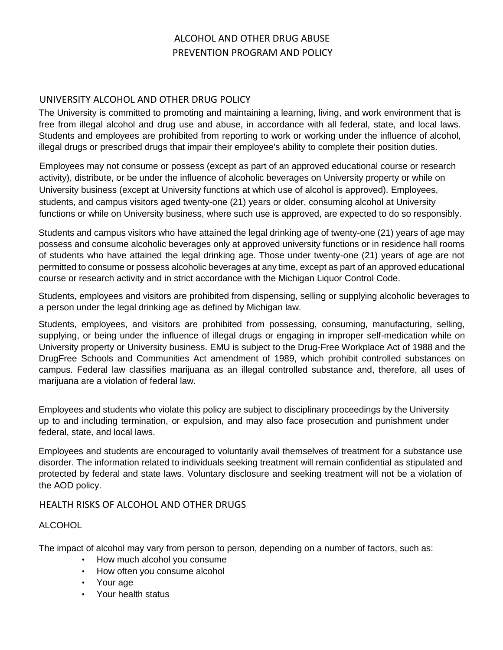## ALCOHOL AND OTHER DRUG ABUSE PREVENTION PROGRAM AND POLICY

## UNIVERSITY ALCOHOL AND OTHER DRUG POLICY

The University is committed to promoting and maintaining a learning, living, and work environment that is free from illegal alcohol and drug use and abuse, in accordance with all federal, state, and local laws. Students and employees are prohibited from reporting to work or working under the influence of alcohol, illegal drugs or prescribed drugs that impair their employee's ability to complete their position duties.

Employees may not consume or possess (except as part of an approved educational course or research activity), distribute, or be under the influence of alcoholic beverages on University property or while on University business (except at University functions at which use of alcohol is approved). Employees, students, and campus visitors aged twenty-one (21) years or older, consuming alcohol at University functions or while on University business, where such use is approved, are expected to do so responsibly.

Students and campus visitors who have attained the legal drinking age of twenty-one (21) years of age may possess and consume alcoholic beverages only at approved university functions or in residence hall rooms of students who have attained the legal drinking age. Those under twenty-one (21) years of age are not permitted to consume or possess alcoholic beverages at any time, except as part of an approved educational course or research activity and in strict accordance with the Michigan Liquor Control Code.

Students, employees and visitors are prohibited from dispensing, selling or supplying alcoholic beverages to a person under the legal drinking age as defined by Michigan law.

Students, employees, and visitors are prohibited from possessing, consuming, manufacturing, selling, supplying, or being under the influence of illegal drugs or engaging in improper self-medication while on University property or University business. EMU is subject to the Drug-Free Workplace Act of 1988 and the DrugFree Schools and Communities Act amendment of 1989, which prohibit controlled substances on campus. Federal law classifies marijuana as an illegal controlled substance and, therefore, all uses of marijuana are a violation of federal law.

Employees and students who violate this policy are subject to disciplinary proceedings by the University up to and including termination, or expulsion, and may also face prosecution and punishment under federal, state, and local laws.

Employees and students are encouraged to voluntarily avail themselves of treatment for a substance use disorder. The information related to individuals seeking treatment will remain confidential as stipulated and protected by federal and state laws. Voluntary disclosure and seeking treatment will not be a violation of the AOD policy.

## HEALTH RISKS OF ALCOHOL AND OTHER DRUGS

### ALCOHOL

The impact of alcohol may vary from person to person, depending on a number of factors, such as:

- How much alcohol you consume
- How often you consume alcohol
- Your age
- Your health status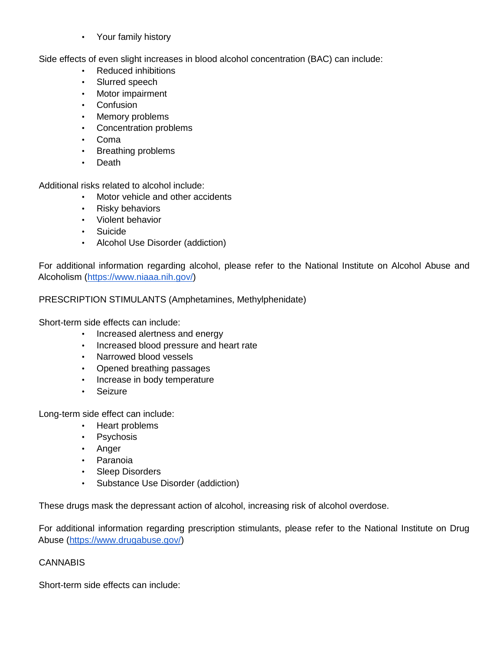• Your family history

Side effects of even slight increases in blood alcohol concentration (BAC) can include:

- Reduced inhibitions
- Slurred speech
- Motor impairment
- Confusion
- Memory problems
- Concentration problems
- Coma
- Breathing problems
- Death

Additional risks related to alcohol include:

- Motor vehicle and other accidents
- Risky behaviors
- Violent behavior
- Suicide
- Alcohol Use Disorder (addiction)

For additional information regarding alcohol, please refer to the National Institute on Alcohol Abuse and Alcoholism (https://www.niaaa.nih.gov/)

PRESCRIPTION STIMULANTS (Amphetamines, Methylphenidate)

Short-term side effects can include:

- Increased alertness and energy
- Increased blood pressure and heart rate
- Narrowed blood vessels
- Opened breathing passages
- Increase in body temperature
- Seizure

Long-term side effect can include:

- Heart problems
- Psychosis
- Anger
- Paranoia
- Sleep Disorders
- Substance Use Disorder (addiction)

These drugs mask the depressant action of alcohol, increasing risk of alcohol overdose.

For additional information regarding prescription stimulants, please refer to the National Institute on Drug Abuse (https://www.drugabuse.gov/)

## **CANNABIS**

Short-term side effects can include: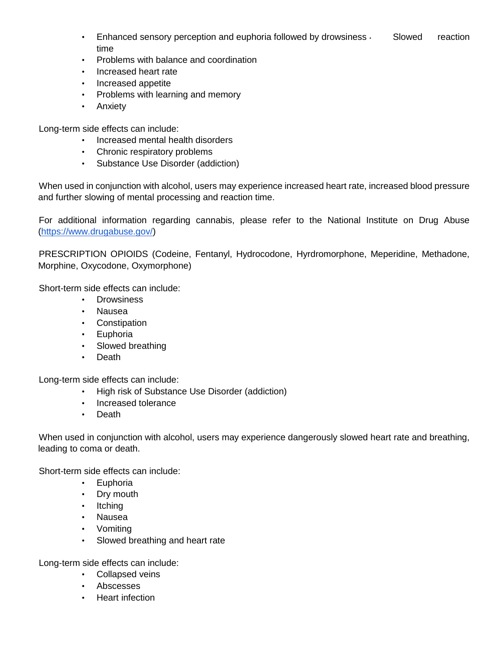- Enhanced sensory perception and euphoria followed by drowsiness  $\cdot$  Slowed reaction time
- Problems with balance and coordination
- Increased heart rate
- Increased appetite
- Problems with learning and memory
- Anxiety

Long-term side effects can include:

- Increased mental health disorders
- Chronic respiratory problems
- Substance Use Disorder (addiction)

When used in conjunction with alcohol, users may experience increased heart rate, increased blood pressure and further slowing of mental processing and reaction time.

For additional information regarding cannabis, please refer to the National Institute on Drug Abuse (https://www.drugabuse.gov/)

PRESCRIPTION OPIOIDS (Codeine, Fentanyl, Hydrocodone, Hyrdromorphone, Meperidine, Methadone, Morphine, Oxycodone, Oxymorphone)

Short-term side effects can include:

- Drowsiness
- Nausea
- Constipation
- Euphoria
- Slowed breathing
- Death

Long-term side effects can include:

- High risk of Substance Use Disorder (addiction)
- Increased tolerance
- Death

When used in conjunction with alcohol, users may experience dangerously slowed heart rate and breathing, leading to coma or death.

Short-term side effects can include:

- Euphoria
- Dry mouth
- Itching
- Nausea
- Vomiting
- Slowed breathing and heart rate

Long-term side effects can include:

- Collapsed veins
- Abscesses
- Heart infection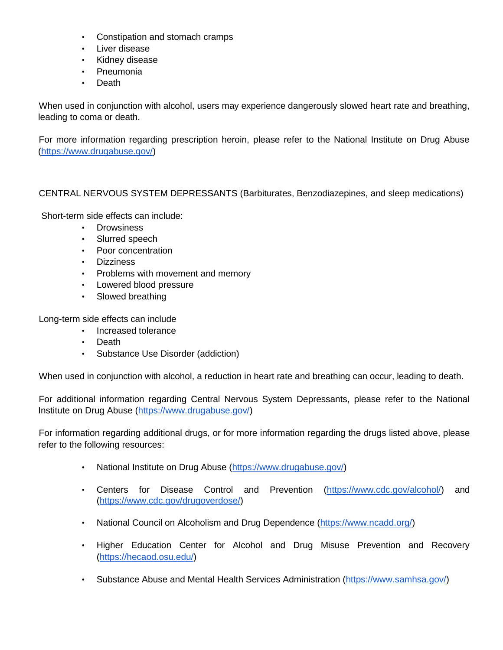- Constipation and stomach cramps
- Liver disease
- Kidney disease
- Pneumonia
- Death

When used in conjunction with alcohol, users may experience dangerously slowed heart rate and breathing, leading to coma or death.

For more information regarding prescription heroin, please refer to the National Institute on Drug Abuse (https://www.drugabuse.gov/)

### CENTRAL NERVOUS SYSTEM DEPRESSANTS (Barbiturates, Benzodiazepines, and sleep medications)

Short-term side effects can include:

- Drowsiness
- Slurred speech
- Poor concentration
- Dizziness
- Problems with movement and memory
- Lowered blood pressure
- Slowed breathing

Long-term side effects can include

- Increased tolerance
- Death
- Substance Use Disorder (addiction)

When used in conjunction with alcohol, a reduction in heart rate and breathing can occur, leading to death.

For additional information regarding Central Nervous System Depressants, please refer to the National Institute on Drug Abuse (https://www.drugabuse.gov/)

For information regarding additional drugs, or for more information regarding the drugs listed above, please refer to the following resources:

- National Institute on Drug Abuse (https://www.drugabuse.gov/)
- Centers for Disease Control and Prevention (https://www.cdc.gov/alcohol/) and (https://www.cdc.gov/drugoverdose/)
- National Council on Alcoholism and Drug Dependence (https://www.ncadd.org/)
- Higher Education Center for Alcohol and Drug Misuse Prevention and Recovery (https://hecaod.osu.edu/)
- Substance Abuse and Mental Health Services Administration (https://www.samhsa.gov/)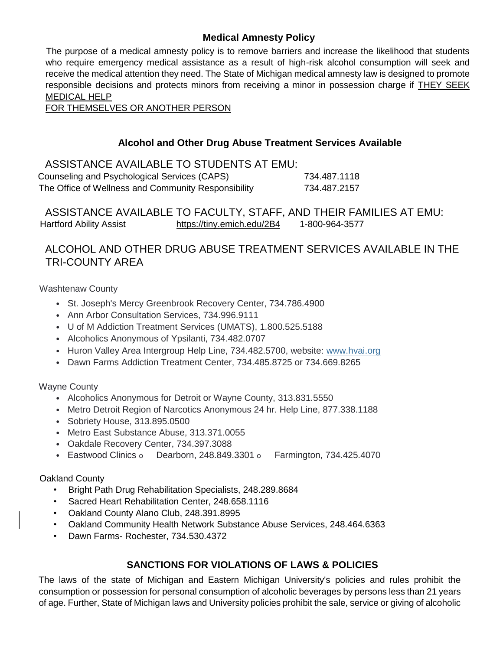## **Medical Amnesty Policy**

The purpose of a medical amnesty policy is to remove barriers and increase the likelihood that students who require emergency medical assistance as a result of high-risk alcohol consumption will seek and receive the medical attention they need. The State of Michigan medical amnesty law is designed to promote responsible decisions and protects minors from receiving a minor in possession charge if THEY SEEK MEDICAL HELP

FOR THEMSELVES OR ANOTHER PERSON

## **Alcohol and Other Drug Abuse Treatment Services Available**

ASSISTANCE AVAILABLE TO STUDENTS AT EMU: Counseling and Psychological Services (CAPS) 734.487.1118 The Office of Wellness and Community Responsibility 734.487.2157

ASSISTANCE AVAILABLE TO FACULTY, STAFF, AND THEIR FAMILIES AT EMU: Hartford Ability Assist https://tiny.emich.edu/2B4 1-800-964-3577

## ALCOHOL AND OTHER DRUG ABUSE TREATMENT SERVICES AVAILABLE IN THE TRI-COUNTY AREA

Washtenaw County

- St. Joseph's Mercy Greenbrook Recovery Center, 734.786.4900
- Ann Arbor Consultation Services, 734.996.9111
- U of M Addiction Treatment Services (UMATS), 1.800.525.5188
- Alcoholics Anonymous of Ypsilanti, 734.482.0707
- Huron Valley Area Intergroup Help Line, 734.482.5700, website: www.hvai.org
- Dawn Farms Addiction Treatment Center, 734.485.8725 or 734.669.8265

Wayne County

- Alcoholics Anonymous for Detroit or Wayne County, 313.831.5550
- Metro Detroit Region of Narcotics Anonymous 24 hr. Help Line, 877.338.1188
- Sobriety House, 313.895.0500
- Metro East Substance Abuse, 313.371.0055
- Oakdale Recovery Center, 734.397.3088
- Eastwood Clinics o Dearborn, 248.849.3301 o Farmington, 734.425.4070

Oakland County

- Bright Path Drug Rehabilitation Specialists, 248.289.8684
- Sacred Heart Rehabilitation Center, 248.658.1116
- Oakland County Alano Club, 248.391.8995
- Oakland Community Health Network Substance Abuse Services, 248.464.6363
- Dawn Farms- Rochester, 734.530.4372

## **SANCTIONS FOR VIOLATIONS OF LAWS & POLICIES**

The laws of the state of Michigan and Eastern Michigan University's policies and rules prohibit the consumption or possession for personal consumption of alcoholic beverages by persons less than 21 years of age. Further, State of Michigan laws and University policies prohibit the sale, service or giving of alcoholic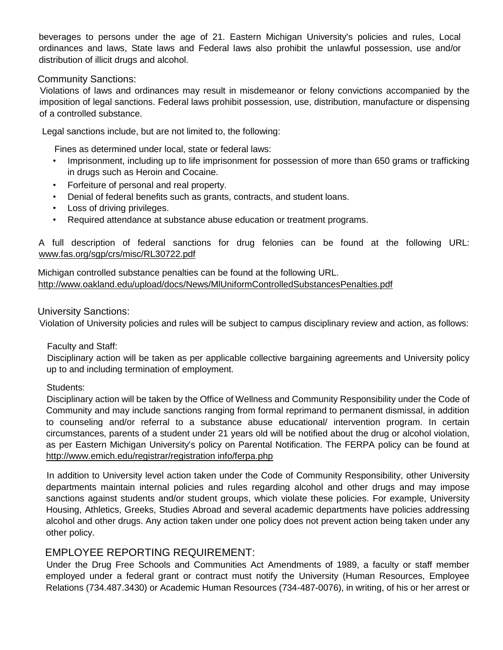beverages to persons under the age of 21. Eastern Michigan University's policies and rules, Local ordinances and laws, State laws and Federal laws also prohibit the unlawful possession, use and/or distribution of illicit drugs and alcohol.

### Community Sanctions:

Violations of laws and ordinances may result in misdemeanor or felony convictions accompanied by the imposition of legal sanctions. Federal laws prohibit possession, use, distribution, manufacture or dispensing of a controlled substance.

Legal sanctions include, but are not limited to, the following:

Fines as determined under local, state or federal laws:

- Imprisonment, including up to life imprisonment for possession of more than 650 grams or trafficking in drugs such as Heroin and Cocaine.
- Forfeiture of personal and real property.
- Denial of federal benefits such as grants, contracts, and student loans.
- Loss of driving privileges.
- Required attendance at substance abuse education or treatment programs.

A full description of federal sanctions for drug felonies can be found at the following URL: www.fas.org/sgp/crs/misc/RL30722.pdf

Michigan controlled substance penalties can be found at the following URL. http://www.oakland.edu/upload/docs/News/MlUniformControlledSubstancesPenalties.pdf

#### University Sanctions:

Violation of University policies and rules will be subject to campus disciplinary review and action, as follows:

#### Faculty and Staff:

Disciplinary action will be taken as per applicable collective bargaining agreements and University policy up to and including termination of employment.

#### Students:

Disciplinary action will be taken by the Office of Wellness and Community Responsibility under the Code of Community and may include sanctions ranging from formal reprimand to permanent dismissal, in addition to counseling and/or referral to a substance abuse educational/ intervention program. In certain circumstances, parents of a student under 21 years old will be notified about the drug or alcohol violation, as per Eastern Michigan University's policy on Parental Notification. The FERPA policy can be found at http://www.emich.edu/registrar/registration info/ferpa.php

In addition to University level action taken under the Code of Community Responsibility, other University departments maintain internal policies and rules regarding alcohol and other drugs and may impose sanctions against students and/or student groups, which violate these policies. For example, University Housing, Athletics, Greeks, Studies Abroad and several academic departments have policies addressing alcohol and other drugs. Any action taken under one policy does not prevent action being taken under any other policy.

## EMPLOYEE REPORTING REQUIREMENT:

Under the Drug Free Schools and Communities Act Amendments of 1989, a faculty or staff member employed under a federal grant or contract must notify the University (Human Resources, Employee Relations (734.487.3430) or Academic Human Resources (734-487-0076), in writing, of his or her arrest or